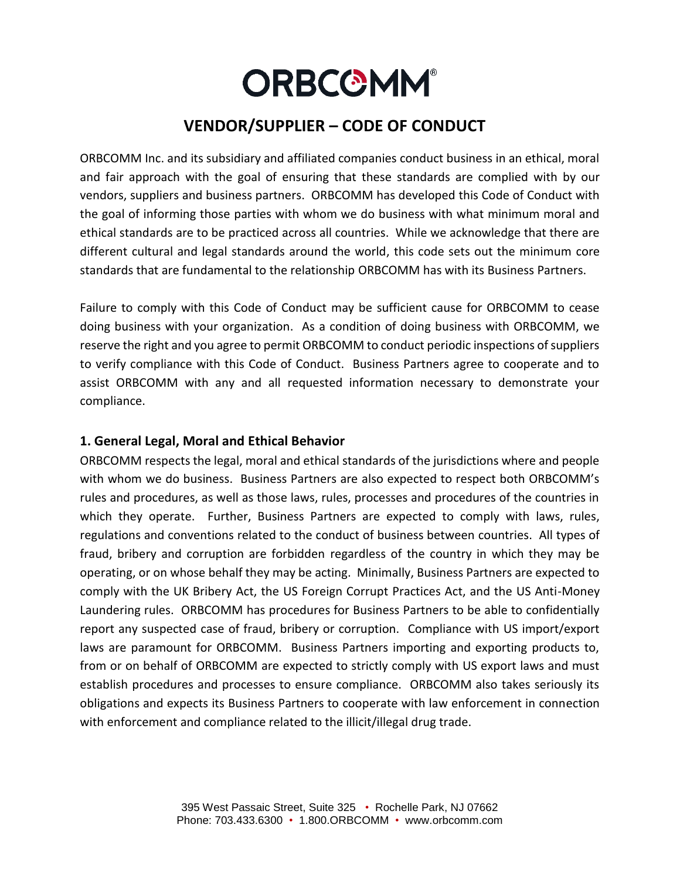# **ORBCOMM®**

# **VENDOR/SUPPLIER – CODE OF CONDUCT**

ORBCOMM Inc. and its subsidiary and affiliated companies conduct business in an ethical, moral and fair approach with the goal of ensuring that these standards are complied with by our vendors, suppliers and business partners. ORBCOMM has developed this Code of Conduct with the goal of informing those parties with whom we do business with what minimum moral and ethical standards are to be practiced across all countries. While we acknowledge that there are different cultural and legal standards around the world, this code sets out the minimum core standards that are fundamental to the relationship ORBCOMM has with its Business Partners.

Failure to comply with this Code of Conduct may be sufficient cause for ORBCOMM to cease doing business with your organization. As a condition of doing business with ORBCOMM, we reserve the right and you agree to permit ORBCOMM to conduct periodic inspections of suppliers to verify compliance with this Code of Conduct. Business Partners agree to cooperate and to assist ORBCOMM with any and all requested information necessary to demonstrate your compliance.

### **1. General Legal, Moral and Ethical Behavior**

ORBCOMM respects the legal, moral and ethical standards of the jurisdictions where and people with whom we do business. Business Partners are also expected to respect both ORBCOMM's rules and procedures, as well as those laws, rules, processes and procedures of the countries in which they operate. Further, Business Partners are expected to comply with laws, rules, regulations and conventions related to the conduct of business between countries. All types of fraud, bribery and corruption are forbidden regardless of the country in which they may be operating, or on whose behalf they may be acting. Minimally, Business Partners are expected to comply with the UK Bribery Act, the US Foreign Corrupt Practices Act, and the US Anti-Money Laundering rules. ORBCOMM has procedures for Business Partners to be able to confidentially report any suspected case of fraud, bribery or corruption. Compliance with US import/export laws are paramount for ORBCOMM. Business Partners importing and exporting products to, from or on behalf of ORBCOMM are expected to strictly comply with US export laws and must establish procedures and processes to ensure compliance. ORBCOMM also takes seriously its obligations and expects its Business Partners to cooperate with law enforcement in connection with enforcement and compliance related to the illicit/illegal drug trade.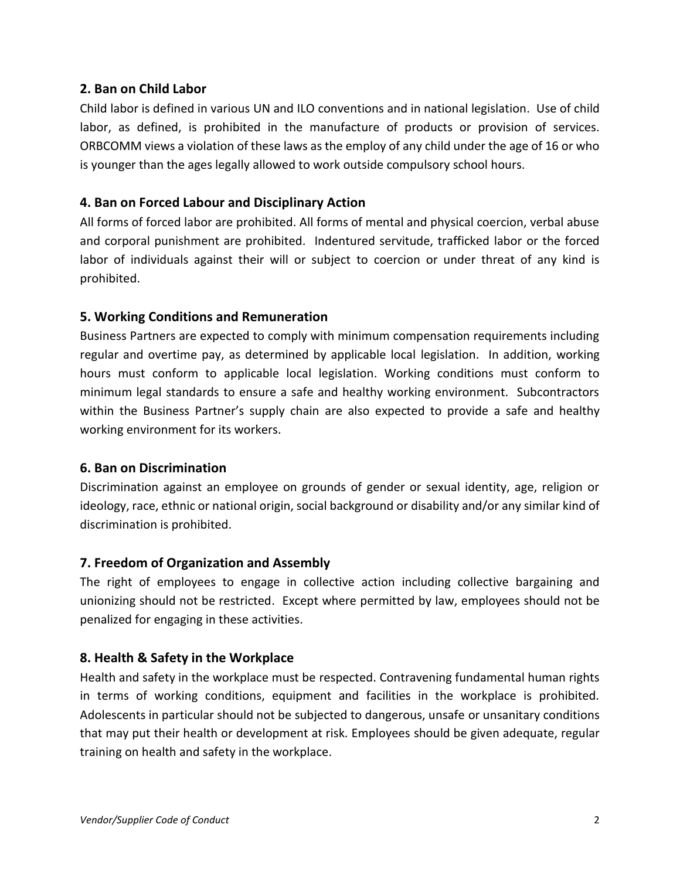#### **2. Ban on Child Labor**

Child labor is defined in various UN and ILO conventions and in national legislation. Use of child labor, as defined, is prohibited in the manufacture of products or provision of services. ORBCOMM views a violation of these laws as the employ of any child under the age of 16 or who is younger than the ages legally allowed to work outside compulsory school hours.

# **4. Ban on Forced Labour and Disciplinary Action**

All forms of forced labor are prohibited. All forms of mental and physical coercion, verbal abuse and corporal punishment are prohibited. Indentured servitude, trafficked labor or the forced labor of individuals against their will or subject to coercion or under threat of any kind is prohibited.

# **5. Working Conditions and Remuneration**

Business Partners are expected to comply with minimum compensation requirements including regular and overtime pay, as determined by applicable local legislation. In addition, working hours must conform to applicable local legislation. Working conditions must conform to minimum legal standards to ensure a safe and healthy working environment. Subcontractors within the Business Partner's supply chain are also expected to provide a safe and healthy working environment for its workers.

#### **6. Ban on Discrimination**

Discrimination against an employee on grounds of gender or sexual identity, age, religion or ideology, race, ethnic or national origin, social background or disability and/or any similar kind of discrimination is prohibited.

#### **7. Freedom of Organization and Assembly**

The right of employees to engage in collective action including collective bargaining and unionizing should not be restricted. Except where permitted by law, employees should not be penalized for engaging in these activities.

#### **8. Health & Safety in the Workplace**

Health and safety in the workplace must be respected. Contravening fundamental human rights in terms of working conditions, equipment and facilities in the workplace is prohibited. Adolescents in particular should not be subjected to dangerous, unsafe or unsanitary conditions that may put their health or development at risk. Employees should be given adequate, regular training on health and safety in the workplace.